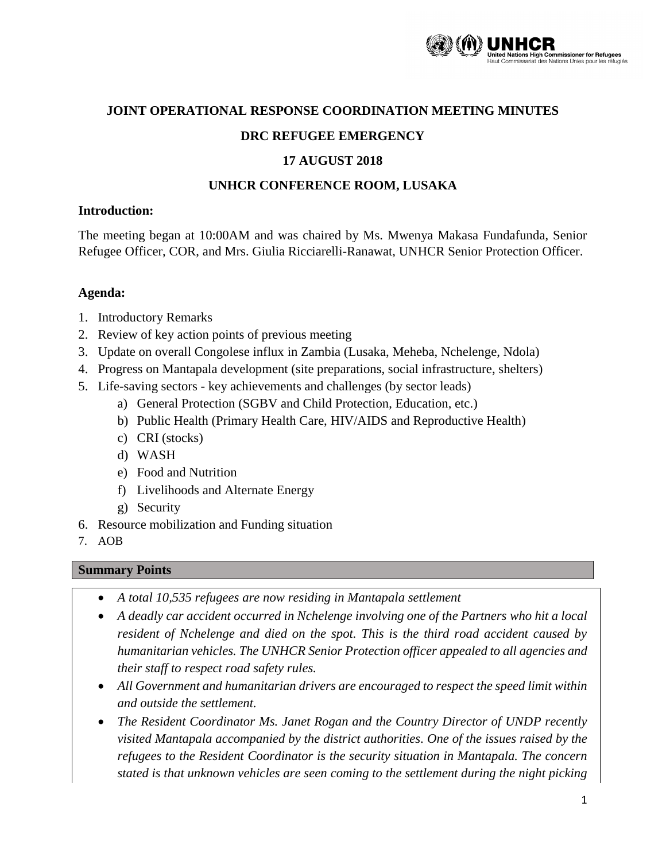

#### **JOINT OPERATIONAL RESPONSE COORDINATION MEETING MINUTES**

#### **DRC REFUGEE EMERGENCY**

#### **17 AUGUST 2018**

#### **UNHCR CONFERENCE ROOM, LUSAKA**

#### **Introduction:**

The meeting began at 10:00AM and was chaired by Ms. Mwenya Makasa Fundafunda, Senior Refugee Officer, COR, and Mrs. Giulia Ricciarelli-Ranawat, UNHCR Senior Protection Officer.

#### **Agenda:**

- 1. Introductory Remarks
- 2. Review of key action points of previous meeting
- 3. Update on overall Congolese influx in Zambia (Lusaka, Meheba, Nchelenge, Ndola)
- 4. Progress on Mantapala development (site preparations, social infrastructure, shelters)
- 5. Life-saving sectors key achievements and challenges (by sector leads)
	- a) General Protection (SGBV and Child Protection, Education, etc.)
	- b) Public Health (Primary Health Care, HIV/AIDS and Reproductive Health)
	- c) CRI (stocks)
	- d) WASH
	- e) Food and Nutrition
	- f) Livelihoods and Alternate Energy
	- g) Security
- 6. Resource mobilization and Funding situation
- 7. AOB

## **Summary Points**

- *A total 10,535 refugees are now residing in Mantapala settlement*
- A deadly car accident occurred in Nchelenge involving one of the Partners who hit a local *resident of Nchelenge and died on the spot. This is the third road accident caused by humanitarian vehicles. The UNHCR Senior Protection officer appealed to all agencies and their staff to respect road safety rules.*
- *All Government and humanitarian drivers are encouraged to respect the speed limit within and outside the settlement.*
- *The Resident Coordinator Ms. Janet Rogan and the Country Director of UNDP recently visited Mantapala accompanied by the district authorities. One of the issues raised by the refugees to the Resident Coordinator is the security situation in Mantapala. The concern stated is that unknown vehicles are seen coming to the settlement during the night picking*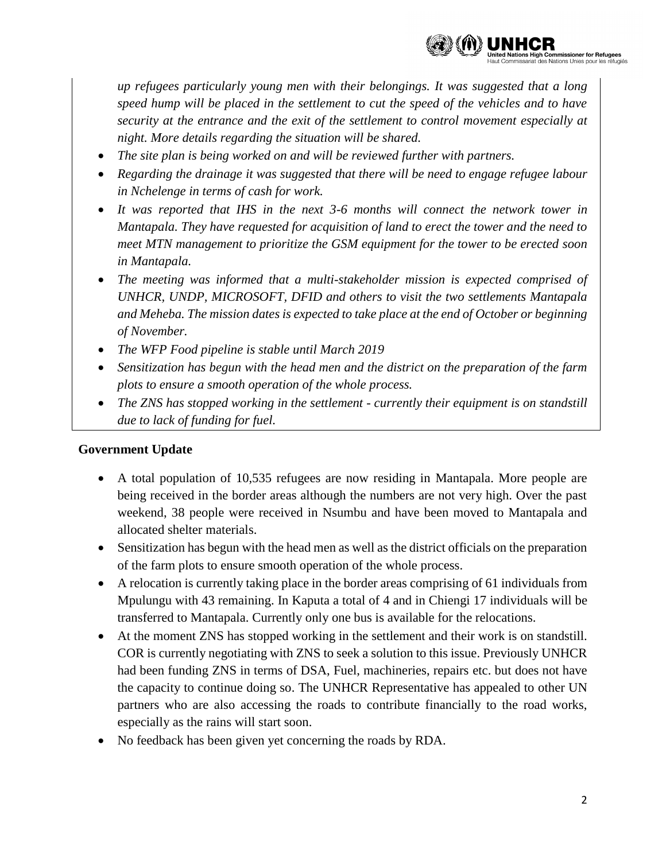

*up refugees particularly young men with their belongings. It was suggested that a long speed hump will be placed in the settlement to cut the speed of the vehicles and to have security at the entrance and the exit of the settlement to control movement especially at night. More details regarding the situation will be shared.*

- *The site plan is being worked on and will be reviewed further with partners.*
- *Regarding the drainage it was suggested that there will be need to engage refugee labour in Nchelenge in terms of cash for work.*
- It was reported that IHS in the next 3-6 months will connect the network tower in *Mantapala. They have requested for acquisition of land to erect the tower and the need to meet MTN management to prioritize the GSM equipment for the tower to be erected soon in Mantapala.*
- *The meeting was informed that a multi-stakeholder mission is expected comprised of UNHCR, UNDP, MICROSOFT, DFID and others to visit the two settlements Mantapala and Meheba. The mission dates is expected to take place at the end of October or beginning of November.*
- *The WFP Food pipeline is stable until March 2019*
- *Sensitization has begun with the head men and the district on the preparation of the farm plots to ensure a smooth operation of the whole process.*
- *The ZNS has stopped working in the settlement - currently their equipment is on standstill due to lack of funding for fuel.*

## **Government Update**

- A total population of 10,535 refugees are now residing in Mantapala. More people are being received in the border areas although the numbers are not very high. Over the past weekend, 38 people were received in Nsumbu and have been moved to Mantapala and allocated shelter materials.
- Sensitization has begun with the head men as well as the district officials on the preparation of the farm plots to ensure smooth operation of the whole process.
- A relocation is currently taking place in the border areas comprising of 61 individuals from Mpulungu with 43 remaining. In Kaputa a total of 4 and in Chiengi 17 individuals will be transferred to Mantapala. Currently only one bus is available for the relocations.
- At the moment ZNS has stopped working in the settlement and their work is on standstill. COR is currently negotiating with ZNS to seek a solution to this issue. Previously UNHCR had been funding ZNS in terms of DSA, Fuel, machineries, repairs etc. but does not have the capacity to continue doing so. The UNHCR Representative has appealed to other UN partners who are also accessing the roads to contribute financially to the road works, especially as the rains will start soon.
- No feedback has been given yet concerning the roads by RDA.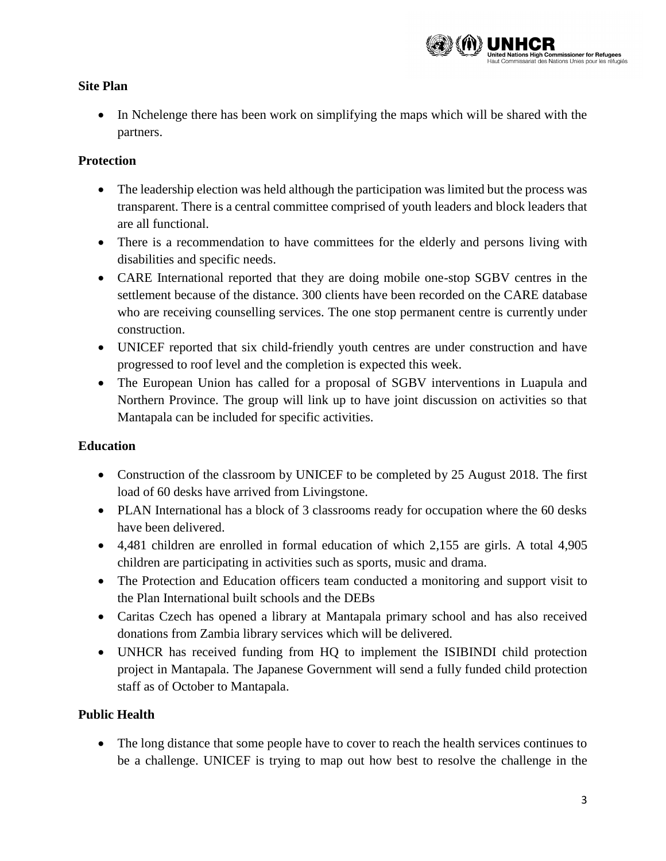

## **Site Plan**

• In Nchelenge there has been work on simplifying the maps which will be shared with the partners.

## **Protection**

- The leadership election was held although the participation was limited but the process was transparent. There is a central committee comprised of youth leaders and block leaders that are all functional.
- There is a recommendation to have committees for the elderly and persons living with disabilities and specific needs.
- CARE International reported that they are doing mobile one-stop SGBV centres in the settlement because of the distance. 300 clients have been recorded on the CARE database who are receiving counselling services. The one stop permanent centre is currently under construction.
- UNICEF reported that six child-friendly youth centres are under construction and have progressed to roof level and the completion is expected this week.
- The European Union has called for a proposal of SGBV interventions in Luapula and Northern Province. The group will link up to have joint discussion on activities so that Mantapala can be included for specific activities.

## **Education**

- Construction of the classroom by UNICEF to be completed by 25 August 2018. The first load of 60 desks have arrived from Livingstone.
- PLAN International has a block of 3 classrooms ready for occupation where the 60 desks have been delivered.
- 4,481 children are enrolled in formal education of which 2,155 are girls. A total 4,905 children are participating in activities such as sports, music and drama.
- The Protection and Education officers team conducted a monitoring and support visit to the Plan International built schools and the DEBs
- Caritas Czech has opened a library at Mantapala primary school and has also received donations from Zambia library services which will be delivered.
- UNHCR has received funding from HQ to implement the ISIBINDI child protection project in Mantapala. The Japanese Government will send a fully funded child protection staff as of October to Mantapala.

## **Public Health**

 The long distance that some people have to cover to reach the health services continues to be a challenge. UNICEF is trying to map out how best to resolve the challenge in the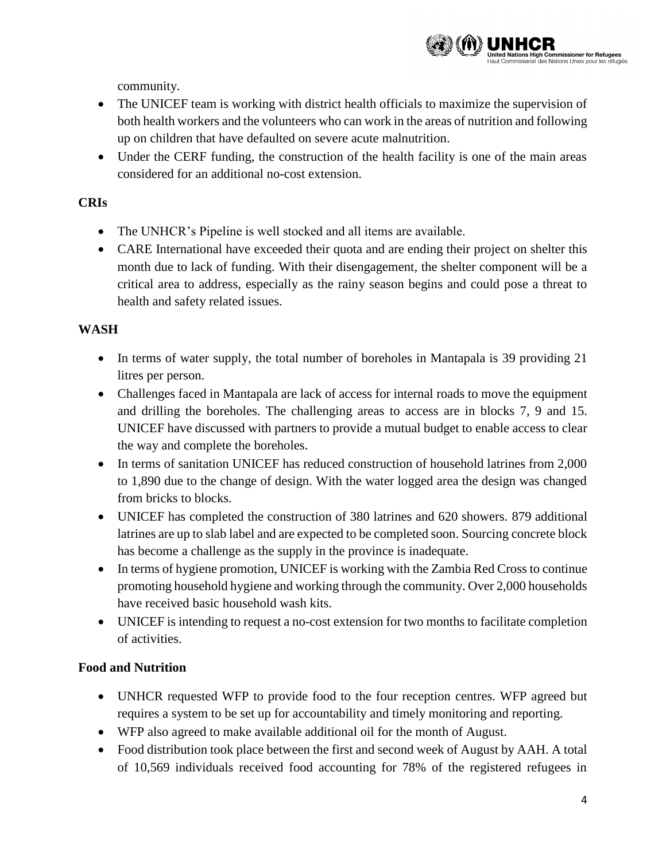community.

- The UNICEF team is working with district health officials to maximize the supervision of both health workers and the volunteers who can work in the areas of nutrition and following up on children that have defaulted on severe acute malnutrition.
- Under the CERF funding, the construction of the health facility is one of the main areas considered for an additional no-cost extension.

# **CRIs**

- The UNHCR's Pipeline is well stocked and all items are available.
- CARE International have exceeded their quota and are ending their project on shelter this month due to lack of funding. With their disengagement, the shelter component will be a critical area to address, especially as the rainy season begins and could pose a threat to health and safety related issues.

## **WASH**

- In terms of water supply, the total number of boreholes in Mantapala is 39 providing 21 litres per person.
- Challenges faced in Mantapala are lack of access for internal roads to move the equipment and drilling the boreholes. The challenging areas to access are in blocks 7, 9 and 15. UNICEF have discussed with partners to provide a mutual budget to enable access to clear the way and complete the boreholes.
- In terms of sanitation UNICEF has reduced construction of household latrines from 2,000 to 1,890 due to the change of design. With the water logged area the design was changed from bricks to blocks.
- UNICEF has completed the construction of 380 latrines and 620 showers. 879 additional latrines are up to slab label and are expected to be completed soon. Sourcing concrete block has become a challenge as the supply in the province is inadequate.
- In terms of hygiene promotion, UNICEF is working with the Zambia Red Cross to continue promoting household hygiene and working through the community. Over 2,000 households have received basic household wash kits.
- UNICEF is intending to request a no-cost extension for two months to facilitate completion of activities.

# **Food and Nutrition**

- UNHCR requested WFP to provide food to the four reception centres. WFP agreed but requires a system to be set up for accountability and timely monitoring and reporting.
- WFP also agreed to make available additional oil for the month of August.
- Food distribution took place between the first and second week of August by AAH. A total of 10,569 individuals received food accounting for 78% of the registered refugees in

**The Commissioner for Refugees**<br>des Nations Unies pour les réfugiés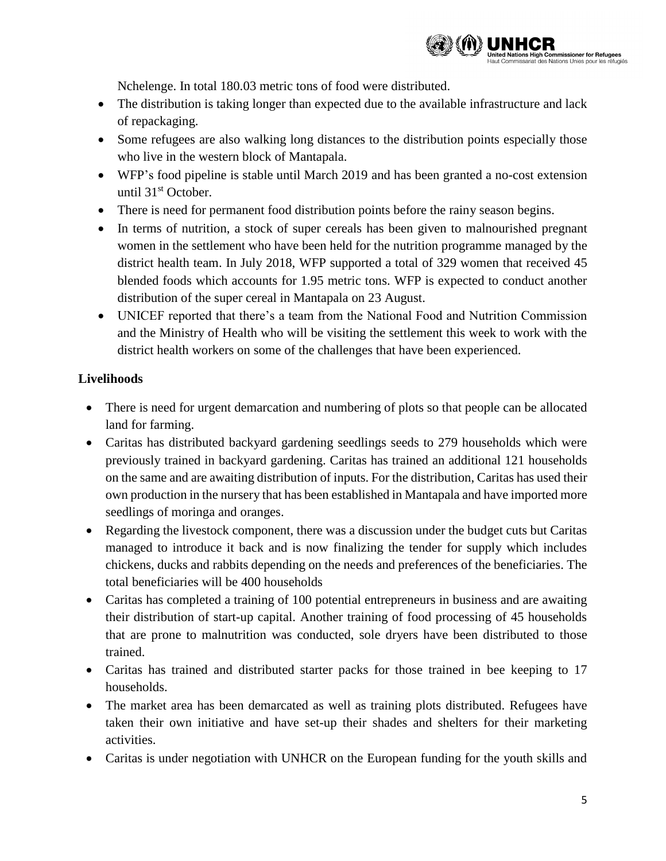

Nchelenge. In total 180.03 metric tons of food were distributed.

- The distribution is taking longer than expected due to the available infrastructure and lack of repackaging.
- Some refugees are also walking long distances to the distribution points especially those who live in the western block of Mantapala.
- WFP's food pipeline is stable until March 2019 and has been granted a no-cost extension until 31<sup>st</sup> October.
- There is need for permanent food distribution points before the rainy season begins.
- In terms of nutrition, a stock of super cereals has been given to malnourished pregnant women in the settlement who have been held for the nutrition programme managed by the district health team. In July 2018, WFP supported a total of 329 women that received 45 blended foods which accounts for 1.95 metric tons. WFP is expected to conduct another distribution of the super cereal in Mantapala on 23 August.
- UNICEF reported that there's a team from the National Food and Nutrition Commission and the Ministry of Health who will be visiting the settlement this week to work with the district health workers on some of the challenges that have been experienced.

# **Livelihoods**

- There is need for urgent demarcation and numbering of plots so that people can be allocated land for farming.
- Caritas has distributed backyard gardening seedlings seeds to 279 households which were previously trained in backyard gardening. Caritas has trained an additional 121 households on the same and are awaiting distribution of inputs. For the distribution, Caritas has used their own production in the nursery that has been established in Mantapala and have imported more seedlings of moringa and oranges.
- Regarding the livestock component, there was a discussion under the budget cuts but Caritas managed to introduce it back and is now finalizing the tender for supply which includes chickens, ducks and rabbits depending on the needs and preferences of the beneficiaries. The total beneficiaries will be 400 households
- Caritas has completed a training of 100 potential entrepreneurs in business and are awaiting their distribution of start-up capital. Another training of food processing of 45 households that are prone to malnutrition was conducted, sole dryers have been distributed to those trained.
- Caritas has trained and distributed starter packs for those trained in bee keeping to 17 households.
- The market area has been demarcated as well as training plots distributed. Refugees have taken their own initiative and have set-up their shades and shelters for their marketing activities.
- Caritas is under negotiation with UNHCR on the European funding for the youth skills and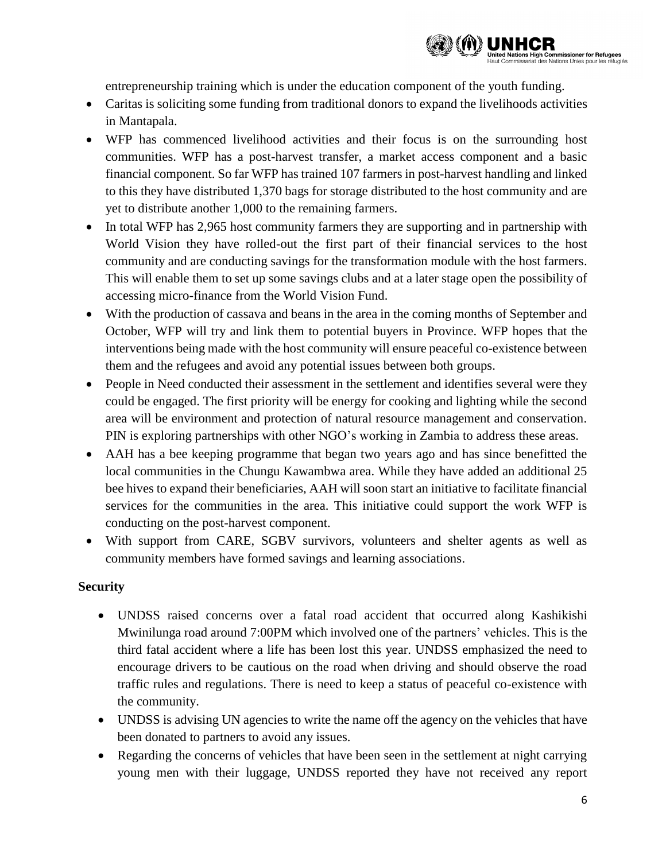

entrepreneurship training which is under the education component of the youth funding.

- Caritas is soliciting some funding from traditional donors to expand the livelihoods activities in Mantapala.
- WFP has commenced livelihood activities and their focus is on the surrounding host communities. WFP has a post-harvest transfer, a market access component and a basic financial component. So far WFP has trained 107 farmers in post-harvest handling and linked to this they have distributed 1,370 bags for storage distributed to the host community and are yet to distribute another 1,000 to the remaining farmers.
- In total WFP has 2,965 host community farmers they are supporting and in partnership with World Vision they have rolled-out the first part of their financial services to the host community and are conducting savings for the transformation module with the host farmers. This will enable them to set up some savings clubs and at a later stage open the possibility of accessing micro-finance from the World Vision Fund.
- With the production of cassava and beans in the area in the coming months of September and October, WFP will try and link them to potential buyers in Province. WFP hopes that the interventions being made with the host community will ensure peaceful co-existence between them and the refugees and avoid any potential issues between both groups.
- People in Need conducted their assessment in the settlement and identifies several were they could be engaged. The first priority will be energy for cooking and lighting while the second area will be environment and protection of natural resource management and conservation. PIN is exploring partnerships with other NGO's working in Zambia to address these areas.
- AAH has a bee keeping programme that began two years ago and has since benefitted the local communities in the Chungu Kawambwa area. While they have added an additional 25 bee hives to expand their beneficiaries, AAH will soon start an initiative to facilitate financial services for the communities in the area. This initiative could support the work WFP is conducting on the post-harvest component.
- With support from CARE, SGBV survivors, volunteers and shelter agents as well as community members have formed savings and learning associations.

## **Security**

- UNDSS raised concerns over a fatal road accident that occurred along Kashikishi Mwinilunga road around 7:00PM which involved one of the partners' vehicles. This is the third fatal accident where a life has been lost this year. UNDSS emphasized the need to encourage drivers to be cautious on the road when driving and should observe the road traffic rules and regulations. There is need to keep a status of peaceful co-existence with the community.
- UNDSS is advising UN agencies to write the name off the agency on the vehicles that have been donated to partners to avoid any issues.
- Regarding the concerns of vehicles that have been seen in the settlement at night carrying young men with their luggage, UNDSS reported they have not received any report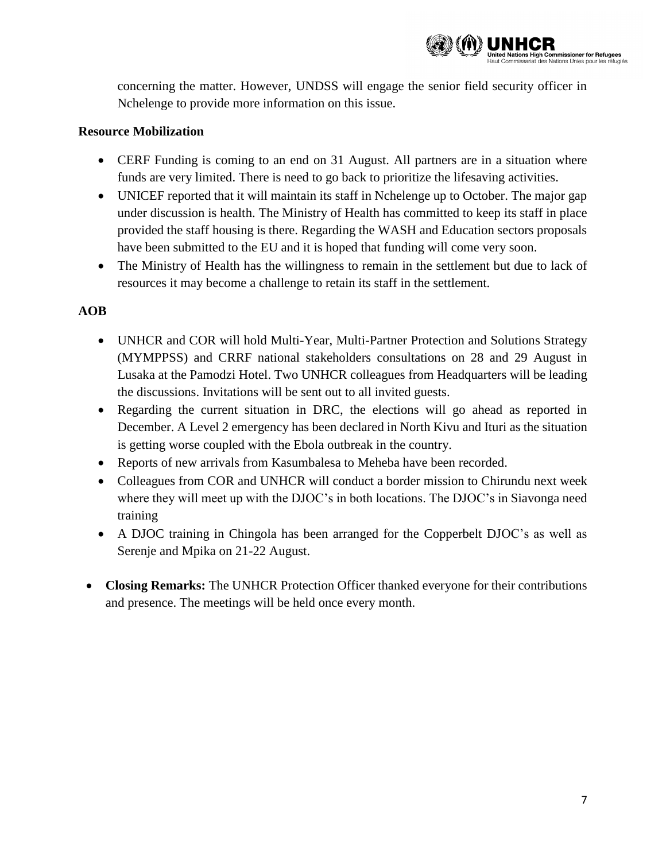

concerning the matter. However, UNDSS will engage the senior field security officer in Nchelenge to provide more information on this issue.

#### **Resource Mobilization**

- CERF Funding is coming to an end on 31 August. All partners are in a situation where funds are very limited. There is need to go back to prioritize the lifesaving activities.
- UNICEF reported that it will maintain its staff in Nchelenge up to October. The major gap under discussion is health. The Ministry of Health has committed to keep its staff in place provided the staff housing is there. Regarding the WASH and Education sectors proposals have been submitted to the EU and it is hoped that funding will come very soon.
- The Ministry of Health has the willingness to remain in the settlement but due to lack of resources it may become a challenge to retain its staff in the settlement.

# **AOB**

- UNHCR and COR will hold Multi-Year, Multi-Partner Protection and Solutions Strategy (MYMPPSS) and CRRF national stakeholders consultations on 28 and 29 August in Lusaka at the Pamodzi Hotel. Two UNHCR colleagues from Headquarters will be leading the discussions. Invitations will be sent out to all invited guests.
- Regarding the current situation in DRC, the elections will go ahead as reported in December. A Level 2 emergency has been declared in North Kivu and Ituri as the situation is getting worse coupled with the Ebola outbreak in the country.
- Reports of new arrivals from Kasumbalesa to Meheba have been recorded.
- Colleagues from COR and UNHCR will conduct a border mission to Chirundu next week where they will meet up with the DJOC's in both locations. The DJOC's in Siavonga need training
- A DJOC training in Chingola has been arranged for the Copperbelt DJOC's as well as Serenje and Mpika on 21-22 August.
- **Closing Remarks:** The UNHCR Protection Officer thanked everyone for their contributions and presence. The meetings will be held once every month.